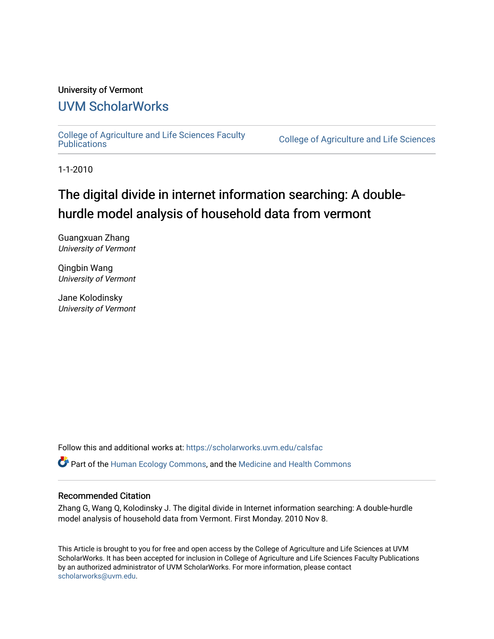#### University of Vermont

# [UVM ScholarWorks](https://scholarworks.uvm.edu/)

[College of Agriculture and Life Sciences Faculty](https://scholarworks.uvm.edu/calsfac) 

**College of Agriculture and Life Sciences** 

1-1-2010

# The digital divide in internet information searching: A doublehurdle model analysis of household data from vermont

Guangxuan Zhang University of Vermont

Qingbin Wang University of Vermont

Jane Kolodinsky University of Vermont

Follow this and additional works at: [https://scholarworks.uvm.edu/calsfac](https://scholarworks.uvm.edu/calsfac?utm_source=scholarworks.uvm.edu%2Fcalsfac%2F38&utm_medium=PDF&utm_campaign=PDFCoverPages)

Part of the [Human Ecology Commons,](http://network.bepress.com/hgg/discipline/1335?utm_source=scholarworks.uvm.edu%2Fcalsfac%2F38&utm_medium=PDF&utm_campaign=PDFCoverPages) and the [Medicine and Health Commons](http://network.bepress.com/hgg/discipline/422?utm_source=scholarworks.uvm.edu%2Fcalsfac%2F38&utm_medium=PDF&utm_campaign=PDFCoverPages) 

#### Recommended Citation

Zhang G, Wang Q, Kolodinsky J. The digital divide in Internet information searching: A double-hurdle model analysis of household data from Vermont. First Monday. 2010 Nov 8.

This Article is brought to you for free and open access by the College of Agriculture and Life Sciences at UVM ScholarWorks. It has been accepted for inclusion in College of Agriculture and Life Sciences Faculty Publications by an authorized administrator of UVM ScholarWorks. For more information, please contact [scholarworks@uvm.edu](mailto:scholarworks@uvm.edu).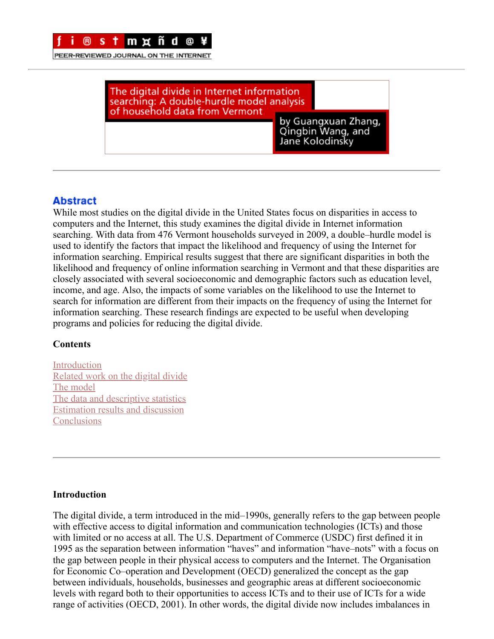

PEER-REVIEWED JOURNAL ON THE INTERNET

The digital divide in Internet information searching: A double-hurdle model analysis<br>of household data from Vermont

by Guangxuan Zhang, Dy Guangxuan Zhan<br>Qingbin Wang, and Jane Kolodinsky

## **Abstract**

While most studies on the digital divide in the United States focus on disparities in access to computers and the Internet, this study examines the digital divide in Internet information searching. With data from 476 Vermont households surveyed in 2009, a double–hurdle model is used to identify the factors that impact the likelihood and frequency of using the Internet for information searching. Empirical results suggest that there are significant disparities in both the likelihood and frequency of online information searching in Vermont and that these disparities are closely associated with several socioeconomic and demographic factors such as education level, income, and age. Also, the impacts of some variables on the likelihood to use the Internet to search for information are different from their impacts on the frequency of using the Internet for information searching. These research findings are expected to be useful when developing programs and policies for reducing the digital divide.

#### **Contents**

[Introduction](#page-1-0) [Related work on the digital divide](#page-2-0) [The model](#page-3-0) [The data and descriptive statistics](#page-5-0) [Estimation results and discussion](#page-7-0) **[Conclusions](#page-10-0)** 

#### <span id="page-1-0"></span>**Introduction**

The digital divide, a term introduced in the mid–1990s, generally refers to the gap between people with effective access to digital information and communication technologies (ICTs) and those with limited or no access at all. The U.S. Department of Commerce (USDC) first defined it in 1995 as the separation between information "haves" and information "have–nots" with a focus on the gap between people in their physical access to computers and the Internet. The Organisation for Economic Co–operation and Development (OECD) generalized the concept as the gap between individuals, households, businesses and geographic areas at different socioeconomic levels with regard both to their opportunities to access ICTs and to their use of ICTs for a wide range of activities (OECD, 2001). In other words, the digital divide now includes imbalances in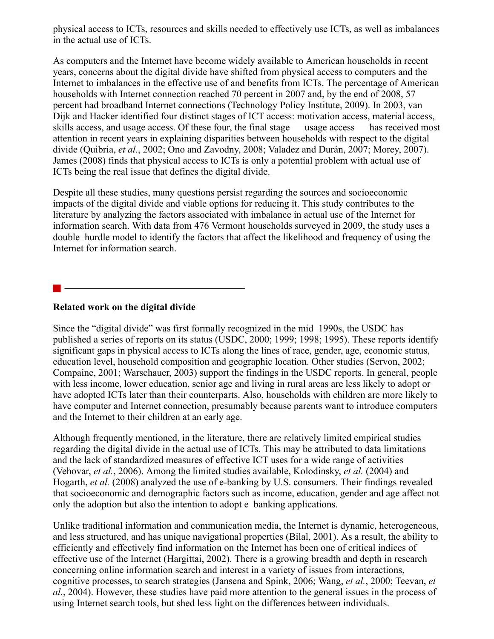physical access to ICTs, resources and skills needed to effectively use ICTs, as well as imbalances in the actual use of ICTs.

As computers and the Internet have become widely available to American households in recent years, concerns about the digital divide have shifted from physical access to computers and the Internet to imbalances in the effective use of and benefits from ICTs. The percentage of American households with Internet connection reached 70 percent in 2007 and, by the end of 2008, 57 percent had broadband Internet connections (Technology Policy Institute, 2009). In 2003, van Dijk and Hacker identified four distinct stages of ICT access: motivation access, material access, skills access, and usage access. Of these four, the final stage — usage access — has received most attention in recent years in explaining disparities between households with respect to the digital divide (Quibria, *et al.*, 2002; Ono and Zavodny, 2008; Valadez and Durán, 2007; Morey, 2007). James (2008) finds that physical access to ICTs is only a potential problem with actual use of ICTs being the real issue that defines the digital divide.

Despite all these studies, many questions persist regarding the sources and socioeconomic impacts of the digital divide and viable options for reducing it. This study contributes to the literature by analyzing the factors associated with imbalance in actual use of the Internet for information search. With data from 476 Vermont households surveyed in 2009, the study uses a double–hurdle model to identify the factors that affect the likelihood and frequency of using the Internet for information search.

#### <span id="page-2-0"></span>**Related work on the digital divide**

Since the "digital divide" was first formally recognized in the mid–1990s, the USDC has published a series of reports on its status (USDC, 2000; 1999; 1998; 1995). These reports identify significant gaps in physical access to ICTs along the lines of race, gender, age, economic status, education level, household composition and geographic location. Other studies (Servon, 2002; Compaine, 2001; Warschauer, 2003) support the findings in the USDC reports. In general, people with less income, lower education, senior age and living in rural areas are less likely to adopt or have adopted ICTs later than their counterparts. Also, households with children are more likely to have computer and Internet connection, presumably because parents want to introduce computers and the Internet to their children at an early age.

Although frequently mentioned, in the literature, there are relatively limited empirical studies regarding the digital divide in the actual use of ICTs. This may be attributed to data limitations and the lack of standardized measures of effective ICT uses for a wide range of activities (Vehovar, *et al.*, 2006). Among the limited studies available, Kolodinsky, *et al.* (2004) and Hogarth, *et al.* (2008) analyzed the use of e-banking by U.S. consumers. Their findings revealed that socioeconomic and demographic factors such as income, education, gender and age affect not only the adoption but also the intention to adopt e–banking applications.

Unlike traditional information and communication media, the Internet is dynamic, heterogeneous, and less structured, and has unique navigational properties (Bilal, 2001). As a result, the ability to efficiently and effectively find information on the Internet has been one of critical indices of effective use of the Internet (Hargittai, 2002). There is a growing breadth and depth in research concerning online information search and interest in a variety of issues from interactions, cognitive processes, to search strategies (Jansena and Spink, 2006; Wang, *et al.*, 2000; Teevan, *et al.*, 2004). However, these studies have paid more attention to the general issues in the process of using Internet search tools, but shed less light on the differences between individuals.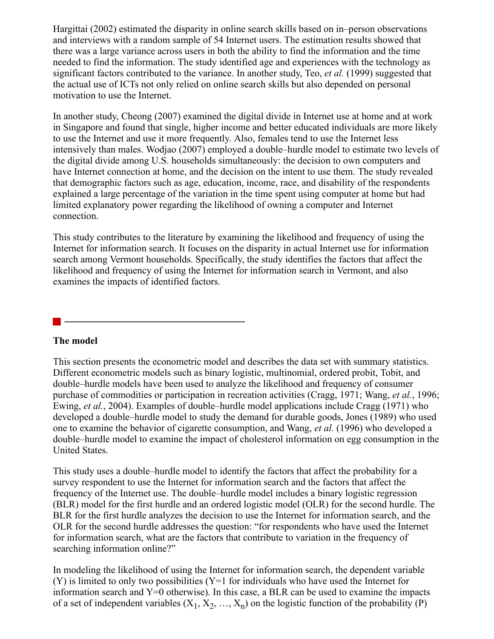Hargittai (2002) estimated the disparity in online search skills based on in–person observations and interviews with a random sample of 54 Internet users. The estimation results showed that there was a large variance across users in both the ability to find the information and the time needed to find the information. The study identified age and experiences with the technology as significant factors contributed to the variance. In another study, Teo, *et al.* (1999) suggested that the actual use of ICTs not only relied on online search skills but also depended on personal motivation to use the Internet.

In another study, Cheong (2007) examined the digital divide in Internet use at home and at work in Singapore and found that single, higher income and better educated individuals are more likely to use the Internet and use it more frequently. Also, females tend to use the Internet less intensively than males. Wodjao (2007) employed a double–hurdle model to estimate two levels of the digital divide among U.S. households simultaneously: the decision to own computers and have Internet connection at home, and the decision on the intent to use them. The study revealed that demographic factors such as age, education, income, race, and disability of the respondents explained a large percentage of the variation in the time spent using computer at home but had limited explanatory power regarding the likelihood of owning a computer and Internet connection.

This study contributes to the literature by examining the likelihood and frequency of using the Internet for information search. It focuses on the disparity in actual Internet use for information search among Vermont households. Specifically, the study identifies the factors that affect the likelihood and frequency of using the Internet for information search in Vermont, and also examines the impacts of identified factors.

#### <span id="page-3-0"></span>**The model**

This section presents the econometric model and describes the data set with summary statistics. Different econometric models such as binary logistic, multinomial, ordered probit, Tobit, and double–hurdle models have been used to analyze the likelihood and frequency of consumer purchase of commodities or participation in recreation activities (Cragg, 1971; Wang, *et al.*, 1996; Ewing, *et al.*, 2004). Examples of double–hurdle model applications include Cragg (1971) who developed a double–hurdle model to study the demand for durable goods, Jones (1989) who used one to examine the behavior of cigarette consumption, and Wang, *et al.* (1996) who developed a double–hurdle model to examine the impact of cholesterol information on egg consumption in the United States.

This study uses a double–hurdle model to identify the factors that affect the probability for a survey respondent to use the Internet for information search and the factors that affect the frequency of the Internet use. The double–hurdle model includes a binary logistic regression (BLR) model for the first hurdle and an ordered logistic model (OLR) for the second hurdle. The BLR for the first hurdle analyzes the decision to use the Internet for information search, and the OLR for the second hurdle addresses the question: "for respondents who have used the Internet for information search, what are the factors that contribute to variation in the frequency of searching information online?"

In modeling the likelihood of using the Internet for information search, the dependent variable  $(Y)$  is limited to only two possibilities  $(Y=1$  for individuals who have used the Internet for information search and  $Y=0$  otherwise). In this case, a BLR can be used to examine the impacts of a set of independent variables  $(X_1, X_2, ..., X_n)$  on the logistic function of the probability (P)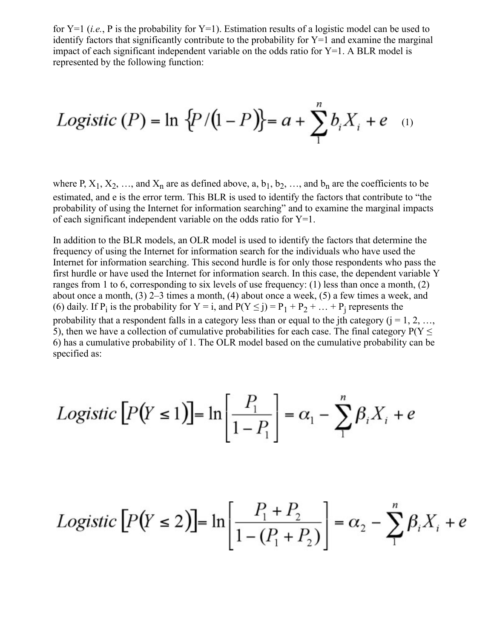for Y=1 (*i.e.*, P is the probability for Y=1). Estimation results of a logistic model can be used to identify factors that significantly contribute to the probability for  $Y=1$  and examine the marginal impact of each significant independent variable on the odds ratio for  $Y=1$ . A BLR model is represented by the following function:

 $\mathbf{v}$ 

*Logistic (P)* = ln {
$$
P/(1 - P)
$$
} = a +  $\sum_{1}^{n} b_i X_i + e$  (1)

where P,  $X_1, X_2, ...,$  and  $X_n$  are as defined above, a,  $b_1, b_2, ...,$  and  $b_n$  are the coefficients to be estimated, and e is the error term. This BLR is used to identify the factors that contribute to "the probability of using the Internet for information searching" and to examine the marginal impacts of each significant independent variable on the odds ratio for  $Y=1$ .

In addition to the BLR models, an OLR model is used to identify the factors that determine the frequency of using the Internet for information search for the individuals who have used the Internet for information searching. This second hurdle is for only those respondents who pass the first hurdle or have used the Internet for information search. In this case, the dependent variable Y ranges from 1 to 6, corresponding to six levels of use frequency: (1) less than once a month, (2) about once a month, (3) 2–3 times a month, (4) about once a week, (5) a few times a week, and (6) daily. If P<sub>i</sub> is the probability for Y = i, and P(Y  $\leq$  j) = P<sub>1</sub> + P<sub>2</sub> + ... + P<sub>j</sub> represents the probability that a respondent falls in a category less than or equal to the jth category  $(i = 1, 2, ...,$ 5), then we have a collection of cumulative probabilities for each case. The final category  $P(Y \leq$ 6) has a cumulative probability of 1. The OLR model based on the cumulative probability can be specified as:

$$
Logistic\left[P(Y \le 1)\right] = \ln\left[\frac{P_1}{1 - P_1}\right] = \alpha_1 - \sum_{1}^{n} \beta_i X_i + e
$$

$$
Logistic\left[P(Y \le 2)\right] = \ln\left[\frac{P_1 + P_2}{1 - (P_1 + P_2)}\right] = \alpha_2 - \sum_{1}^{n} \beta_i X_i + e
$$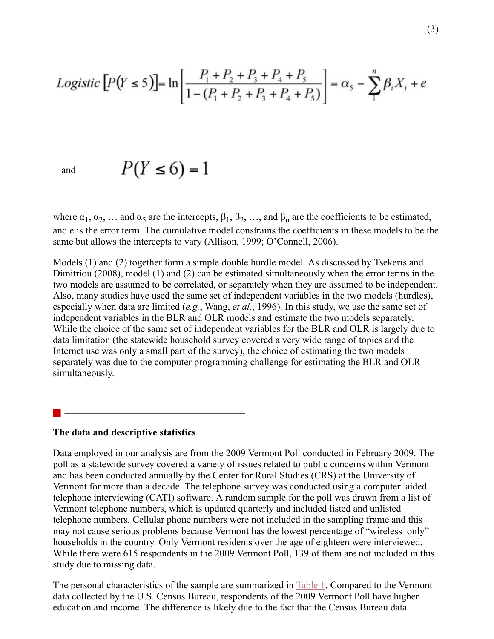$$
Logistic\left[P(Y \le 5)\right] = \ln\left[\frac{P_1 + P_2 + P_3 + P_4 + P_5}{1 - (P_1 + P_2 + P_3 + P_4 + P_5)}\right] = \alpha_5 - \sum_{1}^{n} \beta_i X_i + e
$$

$$
P(Y \le 6) = 1
$$

where  $\alpha_1, \alpha_2, \ldots$  and  $\alpha_5$  are the intercepts,  $\beta_1, \beta_2, \ldots$ , and  $\beta_n$  are the coefficients to be estimated, and e is the error term. The cumulative model constrains the coefficients in these models to be the same but allows the intercepts to vary (Allison, 1999; O'Connell, 2006).

Models (1) and (2) together form a simple double hurdle model. As discussed by Tsekeris and Dimitriou (2008), model (1) and (2) can be estimated simultaneously when the error terms in the two models are assumed to be correlated, or separately when they are assumed to be independent. Also, many studies have used the same set of independent variables in the two models (hurdles), especially when data are limited (*e.g.*, Wang, *et al.*, 1996). In this study, we use the same set of independent variables in the BLR and OLR models and estimate the two models separately. While the choice of the same set of independent variables for the BLR and OLR is largely due to data limitation (the statewide household survey covered a very wide range of topics and the Internet use was only a small part of the survey), the choice of estimating the two models separately was due to the computer programming challenge for estimating the BLR and OLR simultaneously.

#### <span id="page-5-0"></span>**The data and descriptive statistics**

Data employed in our analysis are from the 2009 Vermont Poll conducted in February 2009. The poll as a statewide survey covered a variety of issues related to public concerns within Vermont and has been conducted annually by the Center for Rural Studies (CRS) at the University of Vermont for more than a decade. The telephone survey was conducted using a computer–aided telephone interviewing (CATI) software. A random sample for the poll was drawn from a list of Vermont telephone numbers, which is updated quarterly and included listed and unlisted telephone numbers. Cellular phone numbers were not included in the sampling frame and this may not cause serious problems because Vermont has the lowest percentage of "wireless–only" households in the country. Only Vermont residents over the age of eighteen were interviewed. While there were 615 respondents in the 2009 Vermont Poll, 139 of them are not included in this study due to missing data.

The personal characteristics of the sample are summarized in <u>Table 1</u>. Compared to the Vermont data collected by the U.S. Census Bureau, respondents of the 2009 Vermont Poll have higher education and income. The difference is likely due to the fact that the Census Bureau data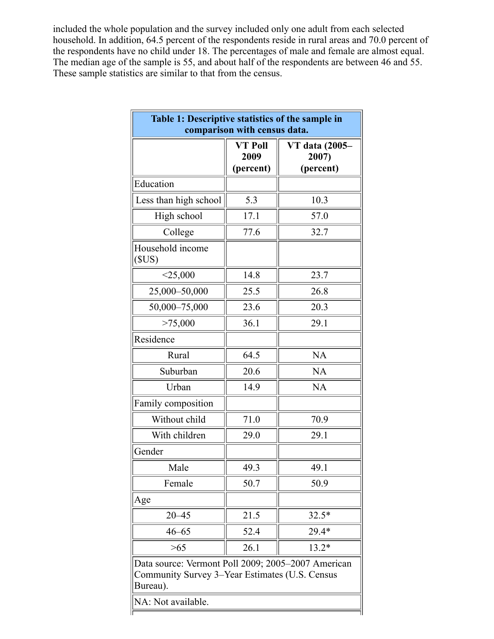included the whole population and the survey included only one adult from each selected household. In addition, 64.5 percent of the respondents reside in rural areas and 70.0 percent of the respondents have no child under 18. The percentages of male and female are almost equal. The median age of the sample is 55, and about half of the respondents are between 46 and 55. These sample statistics are similar to that from the census.

<span id="page-6-0"></span>

| Table 1: Descriptive statistics of the sample in<br>comparison with census data.                                 |                              |                                      |  |  |  |  |
|------------------------------------------------------------------------------------------------------------------|------------------------------|--------------------------------------|--|--|--|--|
|                                                                                                                  | VT Poll<br>2009<br>(percent) | VT data (2005-<br>2007)<br>(percent) |  |  |  |  |
| Education                                                                                                        |                              |                                      |  |  |  |  |
| Less than high school                                                                                            | 5.3                          | 10.3                                 |  |  |  |  |
| High school                                                                                                      | 17.1                         | 57.0                                 |  |  |  |  |
| College                                                                                                          | 77.6                         | 32.7                                 |  |  |  |  |
| Household income<br>(SUS)                                                                                        |                              |                                      |  |  |  |  |
| $<$ 25,000                                                                                                       | 14.8                         | 23.7                                 |  |  |  |  |
| 25,000-50,000                                                                                                    | 25.5                         | 26.8                                 |  |  |  |  |
| 50,000-75,000                                                                                                    | 23.6                         | 20.3                                 |  |  |  |  |
| >75,000                                                                                                          | 36.1                         | 29.1                                 |  |  |  |  |
| Residence                                                                                                        |                              |                                      |  |  |  |  |
| Rural                                                                                                            | 64.5                         | <b>NA</b>                            |  |  |  |  |
| Suburban                                                                                                         | 20.6                         | <b>NA</b>                            |  |  |  |  |
| Urban                                                                                                            | 14.9                         | <b>NA</b>                            |  |  |  |  |
| Family composition                                                                                               |                              |                                      |  |  |  |  |
| Without child                                                                                                    | 71.0                         | 70.9                                 |  |  |  |  |
| With children                                                                                                    | 29.0                         | 29.1                                 |  |  |  |  |
| Gender                                                                                                           |                              |                                      |  |  |  |  |
| Male                                                                                                             | 49.3                         | 49.1                                 |  |  |  |  |
| Female                                                                                                           | 50.7                         | 50.9                                 |  |  |  |  |
| Age                                                                                                              |                              |                                      |  |  |  |  |
| $20 - 45$                                                                                                        | 21.5                         | $32.5*$                              |  |  |  |  |
| $46 - 65$                                                                                                        | 52.4                         | 29.4*                                |  |  |  |  |
| >65                                                                                                              | 26.1                         | $13.2*$                              |  |  |  |  |
| Data source: Vermont Poll 2009; 2005-2007 American<br>Community Survey 3–Year Estimates (U.S. Census<br>Bureau). |                              |                                      |  |  |  |  |
| NA: Not available.                                                                                               |                              |                                      |  |  |  |  |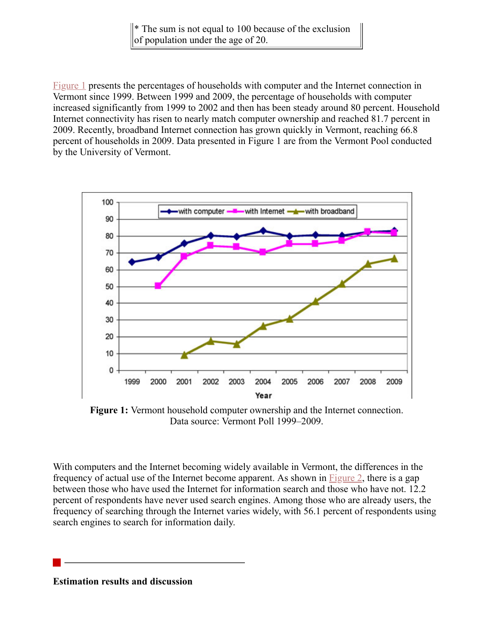\* The sum is not equal to 100 because of the exclusion of population under the age of 20.

[Figure 1](#page-7-1) presents the percentages of households with computer and the Internet connection in Vermont since 1999. Between 1999 and 2009, the percentage of households with computer increased significantly from 1999 to 2002 and then has been steady around 80 percent. Household Internet connectivity has risen to nearly match computer ownership and reached 81.7 percent in 2009. Recently, broadband Internet connection has grown quickly in Vermont, reaching 66.8 percent of households in 2009. Data presented in Figure 1 are from the Vermont Pool conducted by the University of Vermont.

<span id="page-7-1"></span>

**Figure 1:** Vermont household computer ownership and the Internet connection. Data source: Vermont Poll 1999–2009.

With computers and the Internet becoming widely available in Vermont, the differences in the frequency of actual use of the Internet become apparent. As shown in [Figure 2,](#page-8-0) there is a gap between those who have used the Internet for information search and those who have not. 12.2 percent of respondents have never used search engines. Among those who are already users, the frequency of searching through the Internet varies widely, with 56.1 percent of respondents using search engines to search for information daily.

<span id="page-7-0"></span>**Estimation results and discussion**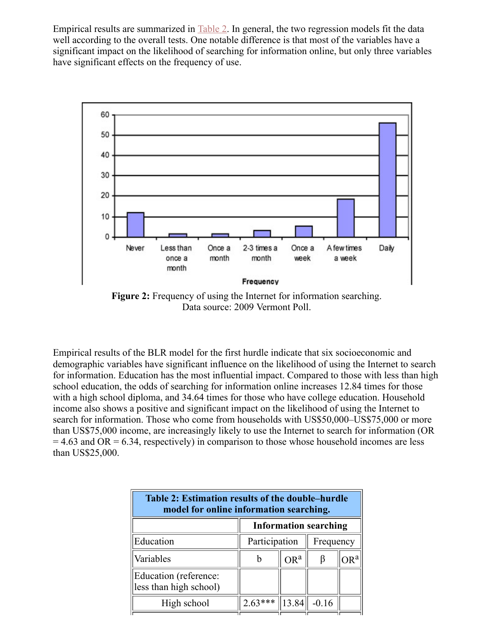Empirical results are summarized in [Table 2](#page-8-1). In general, the two regression models fit the data well according to the overall tests. One notable difference is that most of the variables have a significant impact on the likelihood of searching for information online, but only three variables have significant effects on the frequency of use.

<span id="page-8-0"></span>

**Figure 2:** Frequency of using the Internet for information searching. Data source: 2009 Vermont Poll.

Empirical results of the BLR model for the first hurdle indicate that six socioeconomic and demographic variables have significant influence on the likelihood of using the Internet to search for information. Education has the most influential impact. Compared to those with less than high school education, the odds of searching for information online increases 12.84 times for those with a high school diploma, and 34.64 times for those who have college education. Household income also shows a positive and significant impact on the likelihood of using the Internet to search for information. Those who come from households with US\$50,000–US\$75,000 or more than US\$75,000 income, are increasingly likely to use the Internet to search for information (OR  $= 4.63$  and OR  $= 6.34$ , respectively) in comparison to those whose household incomes are less than US\$25,000.

<span id="page-8-1"></span>

| Table 2: Estimation results of the double–hurdle<br>model for online information searching. |                              |        |           |  |  |  |  |
|---------------------------------------------------------------------------------------------|------------------------------|--------|-----------|--|--|--|--|
|                                                                                             | <b>Information searching</b> |        |           |  |  |  |  |
| Education                                                                                   | Participation                |        | Frequency |  |  |  |  |
| Variables                                                                                   |                              | $OR^a$ | B         |  |  |  |  |
| Education (reference:<br>less than high school)                                             |                              |        |           |  |  |  |  |
| High school                                                                                 | $2.63***$                    | 13.84  | $-0.16$   |  |  |  |  |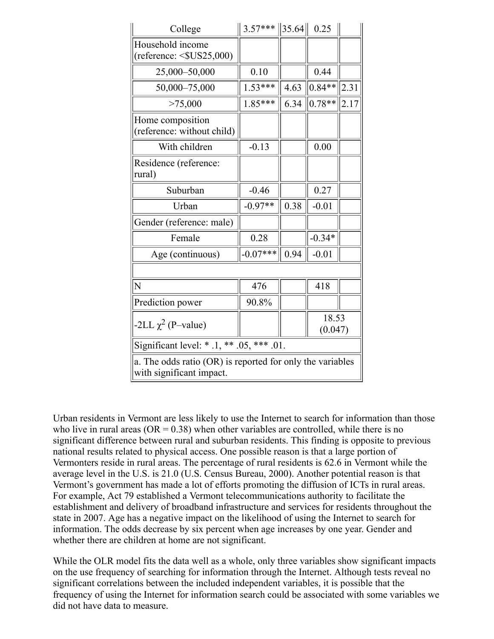| College                                                                               | $3.57***$  | $\ 35.64\ $ | 0.25             |      |  |  |
|---------------------------------------------------------------------------------------|------------|-------------|------------------|------|--|--|
| Household income<br>$(reference: <$ $SUS25,000)$                                      |            |             |                  |      |  |  |
| 25,000-50,000                                                                         | 0.10       |             | 0.44             |      |  |  |
| 50,000-75,000                                                                         | $1.53***$  | 4.63        | $0.84**$         | 2.31 |  |  |
| >75,000                                                                               | $1.85***$  | 6.34        | $0.78**$         | 2.17 |  |  |
| Home composition<br>(reference: without child)                                        |            |             |                  |      |  |  |
| With children                                                                         | $-0.13$    |             | 0.00             |      |  |  |
| Residence (reference:<br>rural)                                                       |            |             |                  |      |  |  |
| Suburban                                                                              | $-0.46$    |             | 0.27             |      |  |  |
| Urban                                                                                 | $-0.97**$  | 0.38        | $-0.01$          |      |  |  |
| Gender (reference: male)                                                              |            |             |                  |      |  |  |
| Female                                                                                | 0.28       |             | $-0.34*$         |      |  |  |
| Age (continuous)                                                                      | $-0.07***$ | 0.94        | $-0.01$          |      |  |  |
|                                                                                       |            |             |                  |      |  |  |
| N                                                                                     | 476        |             | 418              |      |  |  |
| Prediction power                                                                      | 90.8%      |             |                  |      |  |  |
| $-2LL \chi^2$ (P-value)                                                               |            |             | 18.53<br>(0.047) |      |  |  |
| Significant level: * .1, ** $.05,$ *** .01.                                           |            |             |                  |      |  |  |
| a. The odds ratio (OR) is reported for only the variables<br>with significant impact. |            |             |                  |      |  |  |

Urban residents in Vermont are less likely to use the Internet to search for information than those who live in rural areas ( $OR = 0.38$ ) when other variables are controlled, while there is no significant difference between rural and suburban residents. This finding is opposite to previous national results related to physical access. One possible reason is that a large portion of Vermonters reside in rural areas. The percentage of rural residents is 62.6 in Vermont while the average level in the U.S. is 21.0 (U.S. Census Bureau, 2000). Another potential reason is that Vermont's government has made a lot of efforts promoting the diffusion of ICTs in rural areas. For example, Act 79 established a Vermont telecommunications authority to facilitate the establishment and delivery of broadband infrastructure and services for residents throughout the state in 2007. Age has a negative impact on the likelihood of using the Internet to search for information. The odds decrease by six percent when age increases by one year. Gender and whether there are children at home are not significant.

While the OLR model fits the data well as a whole, only three variables show significant impacts on the use frequency of searching for information through the Internet. Although tests reveal no significant correlations between the included independent variables, it is possible that the frequency of using the Internet for information search could be associated with some variables we did not have data to measure.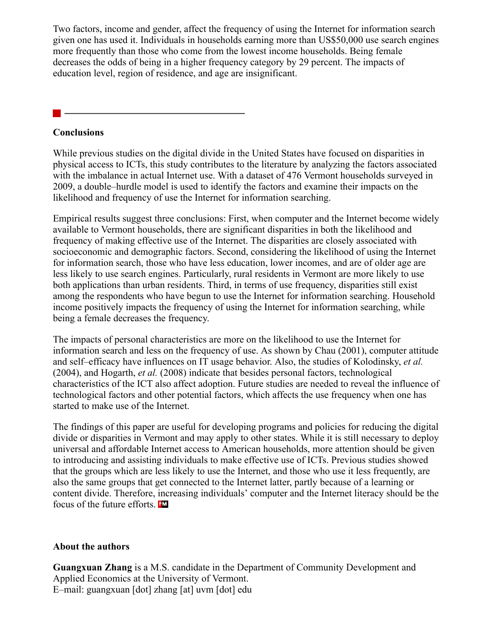Two factors, income and gender, affect the frequency of using the Internet for information search given one has used it. Individuals in households earning more than US\$50,000 use search engines more frequently than those who come from the lowest income households. Being female decreases the odds of being in a higher frequency category by 29 percent. The impacts of education level, region of residence, and age are insignificant.

#### <span id="page-10-0"></span>**Conclusions**

While previous studies on the digital divide in the United States have focused on disparities in physical access to ICTs, this study contributes to the literature by analyzing the factors associated with the imbalance in actual Internet use. With a dataset of 476 Vermont households surveyed in 2009, a double–hurdle model is used to identify the factors and examine their impacts on the likelihood and frequency of use the Internet for information searching.

Empirical results suggest three conclusions: First, when computer and the Internet become widely available to Vermont households, there are significant disparities in both the likelihood and frequency of making effective use of the Internet. The disparities are closely associated with socioeconomic and demographic factors. Second, considering the likelihood of using the Internet for information search, those who have less education, lower incomes, and are of older age are less likely to use search engines. Particularly, rural residents in Vermont are more likely to use both applications than urban residents. Third, in terms of use frequency, disparities still exist among the respondents who have begun to use the Internet for information searching. Household income positively impacts the frequency of using the Internet for information searching, while being a female decreases the frequency.

The impacts of personal characteristics are more on the likelihood to use the Internet for information search and less on the frequency of use. As shown by Chau (2001), computer attitude and self–efficacy have influences on IT usage behavior. Also, the studies of Kolodinsky, *et al.* (2004), and Hogarth, *et al.* (2008) indicate that besides personal factors, technological characteristics of the ICT also affect adoption. Future studies are needed to reveal the influence of technological factors and other potential factors, which affects the use frequency when one has started to make use of the Internet.

The findings of this paper are useful for developing programs and policies for reducing the digital divide or disparities in Vermont and may apply to other states. While it is still necessary to deploy universal and affordable Internet access to American households, more attention should be given to introducing and assisting individuals to make effective use of ICTs. Previous studies showed that the groups which are less likely to use the Internet, and those who use it less frequently, are also the same groups that get connected to the Internet latter, partly because of a learning or content divide. Therefore, increasing individuals' computer and the Internet literacy should be the focus of the future efforts.

#### **About the authors**

**Guangxuan Zhang** is a M.S. candidate in the Department of Community Development and Applied Economics at the University of Vermont. E–mail: guangxuan [dot] zhang [at] uvm [dot] edu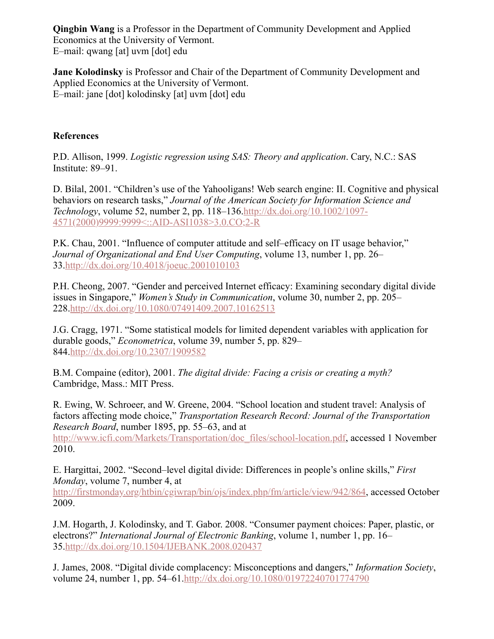**Qingbin Wang** is a Professor in the Department of Community Development and Applied Economics at the University of Vermont. E–mail: qwang [at] uvm [dot] edu

**Jane Kolodinsky** is Professor and Chair of the Department of Community Development and Applied Economics at the University of Vermont. E–mail: jane [dot] kolodinsky [at] uvm [dot] edu

#### **References**

P.D. Allison, 1999. *Logistic regression using SAS: Theory and application*. Cary, N.C.: SAS Institute: 89–91.

D. Bilal, 2001. "Children's use of the Yahooligans! Web search engine: II. Cognitive and physical behaviors on research tasks," *Journal of the American Society for Information Science and Technology*[, volume 52, number 2, pp. 118–136.http://dx.doi.org/10.1002/1097-](http://dx.doi.org/10.1002/1097-4571(2000)9999:9999%3C::AID-ASI1038%3E3.0.CO;2-R) 4571(2000)9999:9999<::AID-ASI1038>3.0.CO;2-R

P.K. Chau, 2001. "Influence of computer attitude and self–efficacy on IT usage behavior," *Journal of Organizational and End User Computing*, volume 13, number 1, pp. 26– 33.<http://dx.doi.org/10.4018/joeuc.2001010103>

P.H. Cheong, 2007. "Gender and perceived Internet efficacy: Examining secondary digital divide issues in Singapore," *Women's Study in Communication*, volume 30, number 2, pp. 205– 228[.http://dx.doi.org/10.1080/07491409.2007.10162513](http://dx.doi.org/10.1080/07491409.2007.10162513)

J.G. Cragg, 1971. "Some statistical models for limited dependent variables with application for durable goods," *Econometrica*, volume 39, number 5, pp. 829– 844[.http://dx.doi.org/10.2307/1909582](http://dx.doi.org/10.2307/1909582)

B.M. Compaine (editor), 2001. *The digital divide: Facing a crisis or creating a myth?* Cambridge, Mass.: MIT Press.

R. Ewing, W. Schroeer, and W. Greene, 2004. "School location and student travel: Analysis of factors affecting mode choice," *Transportation Research Record: Journal of the Transportation Research Board*, number 1895, pp. 55–63, and at

[http://www.icfi.com/Markets/Transportation/doc\\_files/school-location.pdf](http://www.icfi.com/Markets/Transportation/doc_files/school-location.pdf), accessed 1 November 2010.

E. Hargittai, 2002. "Second–level digital divide: Differences in people's online skills," *First Monday*, volume 7, number 4, at

<http://firstmonday.org/htbin/cgiwrap/bin/ojs/index.php/fm/article/view/942/864>, accessed October 2009.

J.M. Hogarth, J. Kolodinsky, and T. Gabor. 2008. "Consumer payment choices: Paper, plastic, or electrons?" *International Journal of Electronic Banking*, volume 1, number 1, pp. 16– 35.<http://dx.doi.org/10.1504/IJEBANK.2008.020437>

J. James, 2008. "Digital divide complacency: Misconceptions and dangers," *Information Society*, volume 24, number 1, pp. 54–61.<http://dx.doi.org/10.1080/01972240701774790>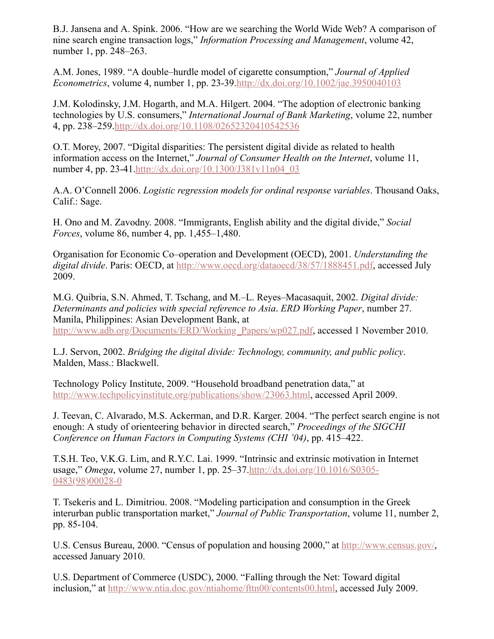B.J. Jansena and A. Spink. 2006. "How are we searching the World Wide Web? A comparison of nine search engine transaction logs," *Information Processing and Management*, volume 42, number 1, pp. 248–263.

A.M. Jones, 1989. "A double–hurdle model of cigarette consumption," *Journal of Applied Econometrics*, volume 4, number 1, pp. 23-39.<http://dx.doi.org/10.1002/jae.3950040103>

J.M. Kolodinsky, J.M. Hogarth, and M.A. Hilgert. 2004. "The adoption of electronic banking technologies by U.S. consumers," *International Journal of Bank Marketing*, volume 22, number 4, pp. 238–259[.http://dx.doi.org/10.1108/02652320410542536](http://dx.doi.org/10.1108/02652320410542536)

O.T. Morey, 2007. "Digital disparities: The persistent digital divide as related to health information access on the Internet," *Journal of Consumer Health on the Internet*, volume 11, number 4, pp. 23-41[.http://dx.doi.org/10.1300/J381v11n04\\_03](http://dx.doi.org/10.1300/J381v11n04_03)

A.A. O'Connell 2006. *Logistic regression models for ordinal response variables*. Thousand Oaks, Calif.: Sage.

H. Ono and M. Zavodny. 2008. "Immigrants, English ability and the digital divide," *Social Forces*, volume 86, number 4, pp. 1,455–1,480.

Organisation for Economic Co–operation and Development (OECD), 2001. *Understanding the digital divide*. Paris: OECD, at [http://www.oecd.org/dataoecd/38/57/1888451.pdf,](http://www.oecd.org/dataoecd/38/57/1888451.pdf) accessed July 2009.

M.G. Quibria, S.N. Ahmed, T. Tschang, and M.–L. Reyes–Macasaquit, 2002. *Digital divide: Determinants and policies with special reference to Asia*. *ERD Working Paper*, number 27. Manila, Philippines: Asian Development Bank, at [http://www.adb.org/Documents/ERD/Working\\_Papers/wp027.pdf](http://www.adb.org/Documents/ERD/Working_Papers/wp027.pdf), accessed 1 November 2010.

L.J. Servon, 2002. *Bridging the digital divide: Technology, community, and public policy*. Malden, Mass.: Blackwell.

Technology Policy Institute, 2009. "Household broadband penetration data," at <http://www.techpolicyinstitute.org/publications/show/23063.html>, accessed April 2009.

J. Teevan, C. Alvarado, M.S. Ackerman, and D.R. Karger. 2004. "The perfect search engine is not enough: A study of orienteering behavior in directed search," *Proceedings of the SIGCHI Conference on Human Factors in Computing Systems (CHI '04)*, pp. 415–422.

T.S.H. Teo, V.K.G. Lim, and R.Y.C. Lai. 1999. "Intrinsic and extrinsic motivation in Internet usage," *Omega*[, volume 27, number 1, pp. 25–37.http://dx.doi.org/10.1016/S0305-](http://dx.doi.org/10.1016/S0305-0483(98)00028-0) 0483(98)00028-0

T. Tsekeris and L. Dimitriou. 2008. "Modeling participation and consumption in the Greek interurban public transportation market," *Journal of Public Transportation*, volume 11, number 2, pp. 85-104.

U.S. Census Bureau, 2000. "Census of population and housing 2000," at <http://www.census.gov/>, accessed January 2010.

U.S. Department of Commerce (USDC), 2000. "Falling through the Net: Toward digital inclusion," at [http://www.ntia.doc.gov/ntiahome/fttn00/contents00.html,](http://www.ntia.doc.gov/ntiahome/fttn00/contents00.html) accessed July 2009.